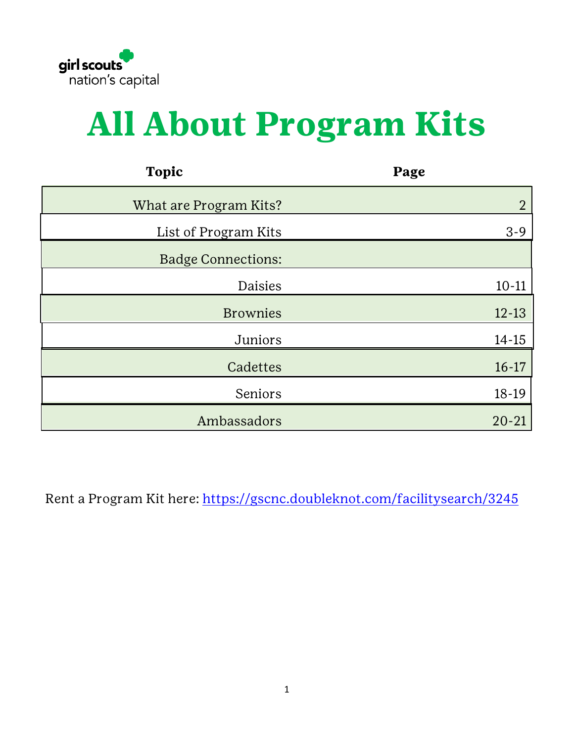

# **All About Program Kits**

| <b>Topic</b>              | Page           |
|---------------------------|----------------|
| What are Program Kits?    | $\overline{2}$ |
| List of Program Kits      | $3 - 9$        |
| <b>Badge Connections:</b> |                |
| Daisies                   | $10 - 11$      |
| <b>Brownies</b>           | $12 - 13$      |
| Juniors                   | $14 - 15$      |
| Cadettes                  | $16 - 17$      |
| Seniors                   | $18-19$        |
| Ambassadors               | $20 - 21$      |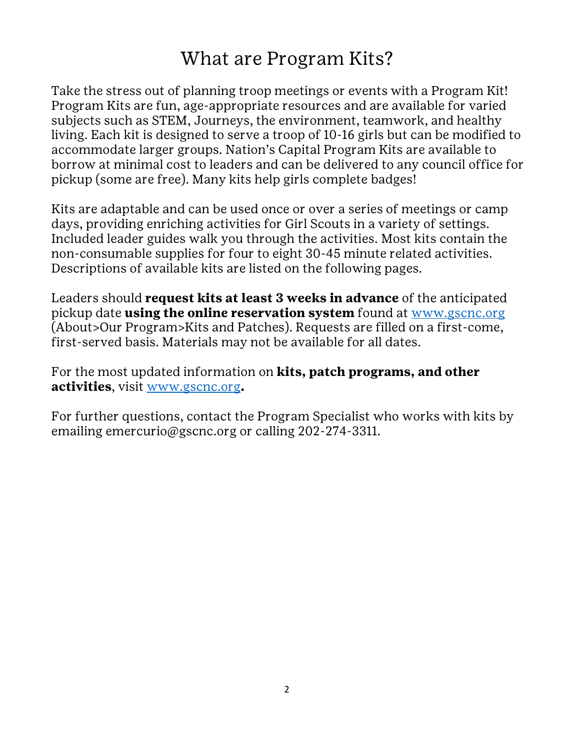#### What are Program Kits?

<span id="page-1-0"></span>Take the stress out of planning troop meetings or events with a Program Kit! Program Kits are fun, age-appropriate resources and are available for varied subjects such as STEM, Journeys, the environment, teamwork, and healthy living. Each kit is designed to serve a troop of 10-16 girls but can be modified to accommodate larger groups. Nation's Capital Program Kits are available to borrow at minimal cost to leaders and can be delivered to any council office for pickup (some are free). Many kits help girls complete badges!

Kits are adaptable and can be used once or over a series of meetings or camp days, providing enriching activities for Girl Scouts in a variety of settings. Included leader guides walk you through the activities. Most kits contain the non-consumable supplies for four to eight 30-45 minute related activities. Descriptions of available kits are listed on the following pages.

Leaders should **request kits at least 3 weeks in advance** of the anticipated pickup date **using the online reservation system** found at [www.gscnc.org](http://www.gscnc.org/) (About>Our Program>Kits and Patches). Requests are filled on a first-come, first-served basis. Materials may not be available for all dates.

For the most updated information on **kits, patch programs, and other activities**, visit [www.gscnc.org](http://www.gscnc.org/)**.**

For further questions, contact the Program Specialist who works with kits by emailing emercurio@gscnc.org or calling 202-274-3311.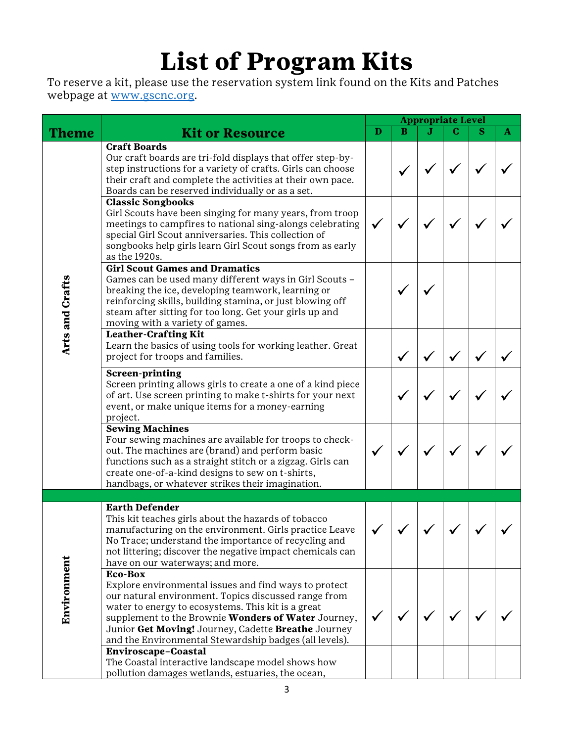## **List of Program Kits**

<span id="page-2-0"></span>To reserve a kit, please use the reservation system link found on the Kits and Patches webpage at [www.gscnc.org.](http://www.gscnc.org/)

|                                                                                                                                                                                                                                                                                                                                     |                                                                                                                                                                                                                                                                                                                                                        |              |   | <b>Appropriate Level</b> |   |   |              |  |
|-------------------------------------------------------------------------------------------------------------------------------------------------------------------------------------------------------------------------------------------------------------------------------------------------------------------------------------|--------------------------------------------------------------------------------------------------------------------------------------------------------------------------------------------------------------------------------------------------------------------------------------------------------------------------------------------------------|--------------|---|--------------------------|---|---|--------------|--|
| Theme                                                                                                                                                                                                                                                                                                                               | <b>Kit or Resource</b>                                                                                                                                                                                                                                                                                                                                 | $\mathbf{D}$ | в | .T                       | C | S | $\mathbf{A}$ |  |
|                                                                                                                                                                                                                                                                                                                                     | <b>Craft Boards</b><br>Our craft boards are tri-fold displays that offer step-by-                                                                                                                                                                                                                                                                      |              |   |                          |   |   |              |  |
|                                                                                                                                                                                                                                                                                                                                     | step instructions for a variety of crafts. Girls can choose<br>their craft and complete the activities at their own pace.<br>Boards can be reserved individually or as a set.                                                                                                                                                                          |              |   |                          |   |   |              |  |
|                                                                                                                                                                                                                                                                                                                                     | <b>Classic Songbooks</b><br>Girl Scouts have been singing for many years, from troop<br>meetings to campfires to national sing-alongs celebrating<br>special Girl Scout anniversaries. This collection of<br>songbooks help girls learn Girl Scout songs from as early<br>as the 1920s.                                                                |              |   |                          |   |   |              |  |
| <b>Girl Scout Games and Dramatics</b><br>Arts and Crafts<br>Games can be used many different ways in Girl Scouts -<br>breaking the ice, developing teamwork, learning or<br>reinforcing skills, building stamina, or just blowing off<br>steam after sitting for too long. Get your girls up and<br>moving with a variety of games. |                                                                                                                                                                                                                                                                                                                                                        |              |   |                          |   |   |              |  |
|                                                                                                                                                                                                                                                                                                                                     | <b>Leather-Crafting Kit</b><br>Learn the basics of using tools for working leather. Great<br>project for troops and families.                                                                                                                                                                                                                          |              |   |                          |   |   |              |  |
|                                                                                                                                                                                                                                                                                                                                     | <b>Screen-printing</b><br>Screen printing allows girls to create a one of a kind piece<br>of art. Use screen printing to make t-shirts for your next<br>event, or make unique items for a money-earning<br>project.                                                                                                                                    |              |   |                          |   |   |              |  |
|                                                                                                                                                                                                                                                                                                                                     | <b>Sewing Machines</b><br>Four sewing machines are available for troops to check-<br>out. The machines are (brand) and perform basic<br>functions such as a straight stitch or a zigzag. Girls can<br>create one-of-a-kind designs to sew on t-shirts,<br>handbags, or whatever strikes their imagination.                                             |              |   |                          |   |   |              |  |
|                                                                                                                                                                                                                                                                                                                                     |                                                                                                                                                                                                                                                                                                                                                        |              |   |                          |   |   |              |  |
|                                                                                                                                                                                                                                                                                                                                     | <b>Earth Defender</b><br>This kit teaches girls about the hazards of tobacco<br>manufacturing on the environment. Girls practice Leave<br>No Trace; understand the importance of recycling and<br>not littering; discover the negative impact chemicals can<br>have on our waterways; and more.                                                        |              |   |                          |   |   |              |  |
| Environment                                                                                                                                                                                                                                                                                                                         | Eco-Box<br>Explore environmental issues and find ways to protect<br>our natural environment. Topics discussed range from<br>water to energy to ecosystems. This kit is a great<br>supplement to the Brownie Wonders of Water Journey,<br>Junior Get Moving! Journey, Cadette Breathe Journey<br>and the Environmental Stewardship badges (all levels). |              |   |                          |   |   |              |  |
|                                                                                                                                                                                                                                                                                                                                     | Enviroscape-Coastal<br>The Coastal interactive landscape model shows how<br>pollution damages wetlands, estuaries, the ocean,                                                                                                                                                                                                                          |              |   |                          |   |   |              |  |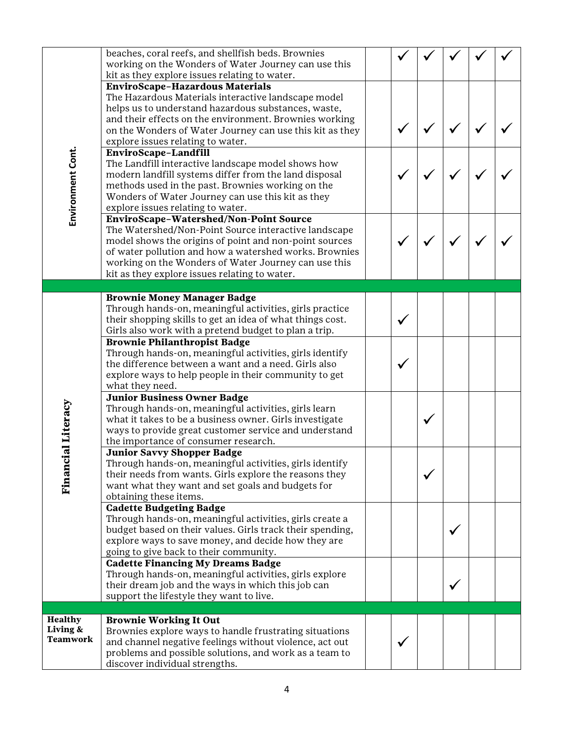|                      | beaches, coral reefs, and shellfish beds. Brownies<br>working on the Wonders of Water Journey can use this<br>kit as they explore issues relating to water.                                                                                                                                                                 |  |  |  |
|----------------------|-----------------------------------------------------------------------------------------------------------------------------------------------------------------------------------------------------------------------------------------------------------------------------------------------------------------------------|--|--|--|
|                      | EnviroScape-Hazardous Materials<br>The Hazardous Materials interactive landscape model<br>helps us to understand hazardous substances, waste,<br>and their effects on the environment. Brownies working<br>on the Wonders of Water Journey can use this kit as they                                                         |  |  |  |
|                      | explore issues relating to water.<br>EnviroScape-Landfill                                                                                                                                                                                                                                                                   |  |  |  |
| Environment Cont.    | The Landfill interactive landscape model shows how<br>modern landfill systems differ from the land disposal<br>methods used in the past. Brownies working on the<br>Wonders of Water Journey can use this kit as they<br>explore issues relating to water.                                                                  |  |  |  |
|                      | EnviroScape-Watershed/Non-Point Source<br>The Watershed/Non-Point Source interactive landscape<br>model shows the origins of point and non-point sources<br>of water pollution and how a watershed works. Brownies<br>working on the Wonders of Water Journey can use this<br>kit as they explore issues relating to water. |  |  |  |
|                      |                                                                                                                                                                                                                                                                                                                             |  |  |  |
|                      | <b>Brownie Money Manager Badge</b><br>Through hands-on, meaningful activities, girls practice<br>their shopping skills to get an idea of what things cost.<br>Girls also work with a pretend budget to plan a trip.                                                                                                         |  |  |  |
|                      | <b>Brownie Philanthropist Badge</b><br>Through hands-on, meaningful activities, girls identify<br>the difference between a want and a need. Girls also<br>explore ways to help people in their community to get<br>what they need.                                                                                          |  |  |  |
| <b>cial Literacy</b> | <b>Junior Business Owner Badge</b><br>Through hands-on, meaningful activities, girls learn<br>what it takes to be a business owner. Girls investigate<br>ways to provide great customer service and understand<br>the importance of consumer research.                                                                      |  |  |  |
| Finan                | <b>Junior Savvy Shopper Badge</b><br>Through hands-on, meaningful activities, girls identify<br>their needs from wants. Girls explore the reasons they<br>want what they want and set goals and budgets for<br>obtaining these items.                                                                                       |  |  |  |
|                      | <b>Cadette Budgeting Badge</b><br>Through hands-on, meaningful activities, girls create a<br>budget based on their values. Girls track their spending,<br>explore ways to save money, and decide how they are<br>going to give back to their community.                                                                     |  |  |  |
|                      | <b>Cadette Financing My Dreams Badge</b><br>Through hands-on, meaningful activities, girls explore<br>their dream job and the ways in which this job can<br>support the lifestyle they want to live.                                                                                                                        |  |  |  |
| Healthy              |                                                                                                                                                                                                                                                                                                                             |  |  |  |
| Living &<br>Teamwork | <b>Brownie Working It Out</b><br>Brownies explore ways to handle frustrating situations<br>and channel negative feelings without violence, act out<br>problems and possible solutions, and work as a team to<br>discover individual strengths.                                                                              |  |  |  |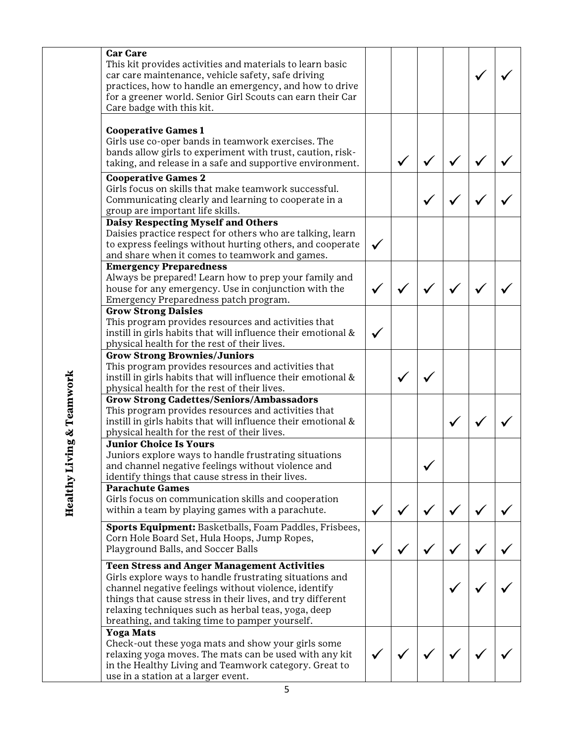| <b>Car Care</b><br>This kit provides activities and materials to learn basic<br>car care maintenance, vehicle safety, safe driving<br>practices, how to handle an emergency, and how to drive<br>for a greener world. Senior Girl Scouts can earn their Car<br>Care badge with this kit.                                                     |  |  |  |
|----------------------------------------------------------------------------------------------------------------------------------------------------------------------------------------------------------------------------------------------------------------------------------------------------------------------------------------------|--|--|--|
| <b>Cooperative Games 1</b><br>Girls use co-oper bands in teamwork exercises. The<br>bands allow girls to experiment with trust, caution, risk-<br>taking, and release in a safe and supportive environment.                                                                                                                                  |  |  |  |
| <b>Cooperative Games 2</b><br>Girls focus on skills that make teamwork successful.<br>Communicating clearly and learning to cooperate in a<br>group are important life skills.                                                                                                                                                               |  |  |  |
| Daisy Respecting Myself and Others<br>Daisies practice respect for others who are talking, learn<br>to express feelings without hurting others, and cooperate<br>and share when it comes to teamwork and games.                                                                                                                              |  |  |  |
| <b>Emergency Preparedness</b><br>Always be prepared! Learn how to prep your family and<br>house for any emergency. Use in conjunction with the<br>Emergency Preparedness patch program.                                                                                                                                                      |  |  |  |
| <b>Grow Strong Daisies</b><br>This program provides resources and activities that<br>instill in girls habits that will influence their emotional &<br>physical health for the rest of their lives.                                                                                                                                           |  |  |  |
| <b>Grow Strong Brownies/Juniors</b><br>This program provides resources and activities that<br>instill in girls habits that will influence their emotional &<br>physical health for the rest of their lives.                                                                                                                                  |  |  |  |
| <b>Grow Strong Cadettes/Seniors/Ambassadors</b><br>This program provides resources and activities that<br>instill in girls habits that will influence their emotional &<br>physical health for the rest of their lives.                                                                                                                      |  |  |  |
| <b>Junior Choice Is Yours</b><br>Juniors explore ways to handle frustrating situations<br>and channel negative feelings without violence and<br>identify things that cause stress in their lives.                                                                                                                                            |  |  |  |
| <b>Parachute Games</b><br>Girls focus on communication skills and cooperation<br>within a team by playing games with a parachute.                                                                                                                                                                                                            |  |  |  |
| Sports Equipment: Basketballs, Foam Paddles, Frisbees,<br>Corn Hole Board Set, Hula Hoops, Jump Ropes,<br>Playground Balls, and Soccer Balls                                                                                                                                                                                                 |  |  |  |
| <b>Teen Stress and Anger Management Activities</b><br>Girls explore ways to handle frustrating situations and<br>channel negative feelings without violence, identify<br>things that cause stress in their lives, and try different<br>relaxing techniques such as herbal teas, yoga, deep<br>breathing, and taking time to pamper yourself. |  |  |  |
| <b>Yoga Mats</b><br>Check-out these yoga mats and show your girls some<br>relaxing yoga moves. The mats can be used with any kit<br>in the Healthy Living and Teamwork category. Great to<br>use in a station at a larger event.                                                                                                             |  |  |  |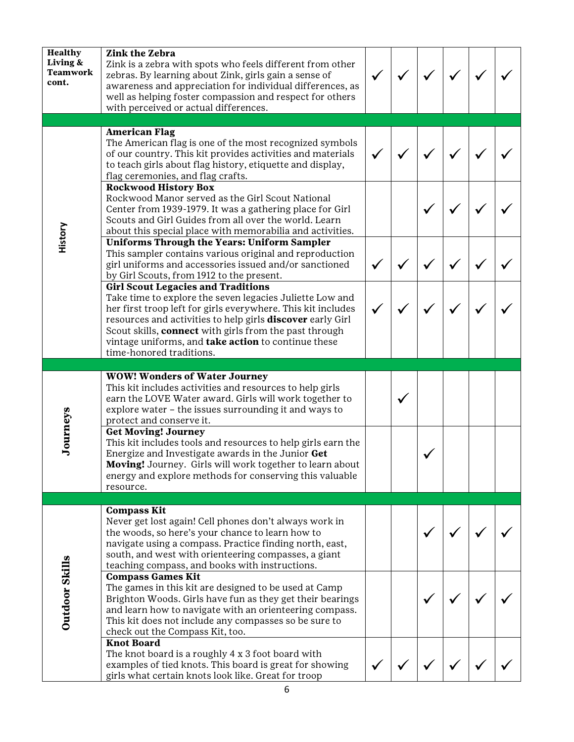| <b>Healthy</b><br>Living &<br><b>Teamwork</b><br>cont. | <b>Zink the Zebra</b><br>Zink is a zebra with spots who feels different from other<br>zebras. By learning about Zink, girls gain a sense of<br>awareness and appreciation for individual differences, as<br>well as helping foster compassion and respect for others<br>with perceived or actual differences.                                                                           |  |  |  |
|--------------------------------------------------------|-----------------------------------------------------------------------------------------------------------------------------------------------------------------------------------------------------------------------------------------------------------------------------------------------------------------------------------------------------------------------------------------|--|--|--|
|                                                        | <b>American Flag</b><br>The American flag is one of the most recognized symbols<br>of our country. This kit provides activities and materials<br>to teach girls about flag history, etiquette and display,<br>flag ceremonies, and flag crafts.<br><b>Rockwood History Box</b><br>Rockwood Manor served as the Girl Scout National                                                      |  |  |  |
| History                                                | Center from 1939-1979. It was a gathering place for Girl<br>Scouts and Girl Guides from all over the world. Learn<br>about this special place with memorabilia and activities.<br><b>Uniforms Through the Years: Uniform Sampler</b>                                                                                                                                                    |  |  |  |
|                                                        | This sampler contains various original and reproduction<br>girl uniforms and accessories issued and/or sanctioned<br>by Girl Scouts, from 1912 to the present.                                                                                                                                                                                                                          |  |  |  |
|                                                        | <b>Girl Scout Legacies and Traditions</b><br>Take time to explore the seven legacies Juliette Low and<br>her first troop left for girls everywhere. This kit includes<br>resources and activities to help girls <b>discover</b> early Girl<br>Scout skills, connect with girls from the past through<br>vintage uniforms, and take action to continue these<br>time-honored traditions. |  |  |  |
|                                                        |                                                                                                                                                                                                                                                                                                                                                                                         |  |  |  |
|                                                        | <b>WOW! Wonders of Water Journey</b>                                                                                                                                                                                                                                                                                                                                                    |  |  |  |
|                                                        | This kit includes activities and resources to help girls<br>earn the LOVE Water award. Girls will work together to<br>explore water - the issues surrounding it and ways to<br>protect and conserve it.                                                                                                                                                                                 |  |  |  |
| Journeys                                               | <b>Get Moving! Journey</b><br>This kit includes tools and resources to help girls earn the<br>Energize and Investigate awards in the Junior Get<br>Moving! Journey. Girls will work together to learn about<br>energy and explore methods for conserving this valuable<br>resource.                                                                                                     |  |  |  |
|                                                        |                                                                                                                                                                                                                                                                                                                                                                                         |  |  |  |
|                                                        | <b>Compass Kit</b><br>Never get lost again! Cell phones don't always work in<br>the woods, so here's your chance to learn how to<br>navigate using a compass. Practice finding north, east,<br>south, and west with orienteering compasses, a giant<br>teaching compass, and books with instructions.                                                                                   |  |  |  |
| <b>Outdoor Skills</b>                                  | <b>Compass Games Kit</b><br>The games in this kit are designed to be used at Camp<br>Brighton Woods. Girls have fun as they get their bearings<br>and learn how to navigate with an orienteering compass.<br>This kit does not include any compasses so be sure to<br>check out the Compass Kit, too.<br><b>Knot Board</b>                                                              |  |  |  |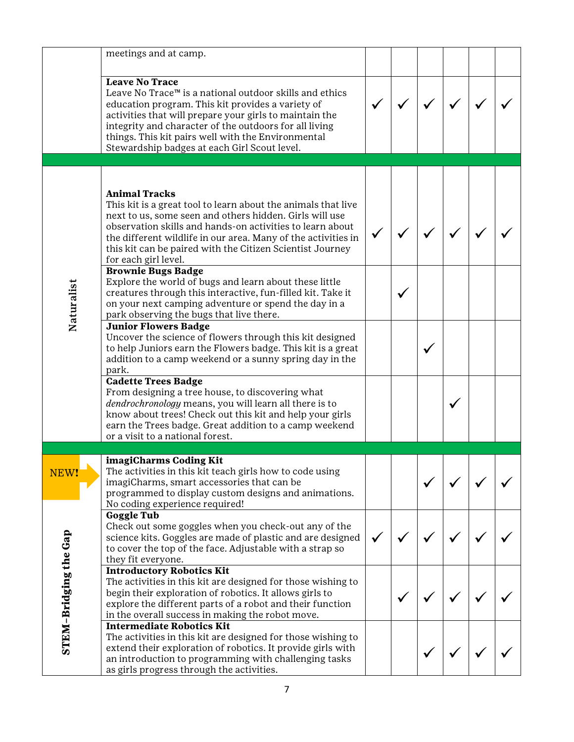|                       | meetings and at camp.                                                                                                                                                                                                                                                                                                                                               |  |  |  |
|-----------------------|---------------------------------------------------------------------------------------------------------------------------------------------------------------------------------------------------------------------------------------------------------------------------------------------------------------------------------------------------------------------|--|--|--|
|                       | <b>Leave No Trace</b><br>Leave No Trace™ is a national outdoor skills and ethics<br>education program. This kit provides a variety of<br>activities that will prepare your girls to maintain the<br>integrity and character of the outdoors for all living<br>things. This kit pairs well with the Environmental<br>Stewardship badges at each Girl Scout level.    |  |  |  |
|                       |                                                                                                                                                                                                                                                                                                                                                                     |  |  |  |
|                       | <b>Animal Tracks</b><br>This kit is a great tool to learn about the animals that live<br>next to us, some seen and others hidden. Girls will use<br>observation skills and hands-on activities to learn about<br>the different wildlife in our area. Many of the activities in<br>this kit can be paired with the Citizen Scientist Journey<br>for each girl level. |  |  |  |
| Naturalist            | <b>Brownie Bugs Badge</b><br>Explore the world of bugs and learn about these little<br>creatures through this interactive, fun-filled kit. Take it<br>on your next camping adventure or spend the day in a<br>park observing the bugs that live there.                                                                                                              |  |  |  |
|                       | <b>Junior Flowers Badge</b><br>Uncover the science of flowers through this kit designed<br>to help Juniors earn the Flowers badge. This kit is a great<br>addition to a camp weekend or a sunny spring day in the<br>park.                                                                                                                                          |  |  |  |
|                       | <b>Cadette Trees Badge</b><br>From designing a tree house, to discovering what<br>dendrochronology means, you will learn all there is to<br>know about trees! Check out this kit and help your girls<br>earn the Trees badge. Great addition to a camp weekend<br>or a visit to a national forest.                                                                  |  |  |  |
|                       |                                                                                                                                                                                                                                                                                                                                                                     |  |  |  |
| NEW!                  | imagiCharms Coding Kit<br>The activities in this kit teach girls how to code using<br>imagiCharms, smart accessories that can be<br>programmed to display custom designs and animations.<br>No coding experience required!                                                                                                                                          |  |  |  |
|                       | <b>Goggle Tub</b><br>Check out some goggles when you check-out any of the<br>science kits. Goggles are made of plastic and are designed<br>to cover the top of the face. Adjustable with a strap so<br>they fit everyone.                                                                                                                                           |  |  |  |
| STEM-Bridging the Gap | <b>Introductory Robotics Kit</b><br>The activities in this kit are designed for those wishing to<br>begin their exploration of robotics. It allows girls to<br>explore the different parts of a robot and their function<br>in the overall success in making the robot move.                                                                                        |  |  |  |
|                       | <b>Intermediate Robotics Kit</b><br>The activities in this kit are designed for those wishing to<br>extend their exploration of robotics. It provide girls with<br>an introduction to programming with challenging tasks<br>as girls progress through the activities.                                                                                               |  |  |  |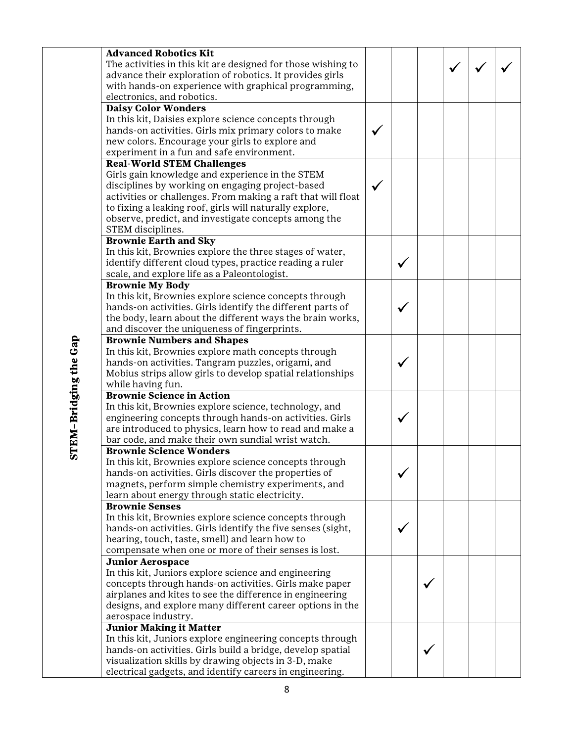|                       | <b>Advanced Robotics Kit</b>                                 |  |  |  |
|-----------------------|--------------------------------------------------------------|--|--|--|
|                       | The activities in this kit are designed for those wishing to |  |  |  |
|                       | advance their exploration of robotics. It provides girls     |  |  |  |
|                       | with hands-on experience with graphical programming,         |  |  |  |
|                       | electronics, and robotics.                                   |  |  |  |
|                       | <b>Daisy Color Wonders</b>                                   |  |  |  |
|                       | In this kit, Daisies explore science concepts through        |  |  |  |
|                       | hands-on activities. Girls mix primary colors to make        |  |  |  |
|                       | new colors. Encourage your girls to explore and              |  |  |  |
|                       | experiment in a fun and safe environment.                    |  |  |  |
|                       | <b>Real-World STEM Challenges</b>                            |  |  |  |
|                       | Girls gain knowledge and experience in the STEM              |  |  |  |
|                       | disciplines by working on engaging project-based             |  |  |  |
|                       | activities or challenges. From making a raft that will float |  |  |  |
|                       | to fixing a leaking roof, girls will naturally explore,      |  |  |  |
|                       | observe, predict, and investigate concepts among the         |  |  |  |
|                       | STEM disciplines.                                            |  |  |  |
|                       | <b>Brownie Earth and Sky</b>                                 |  |  |  |
|                       | In this kit, Brownies explore the three stages of water,     |  |  |  |
|                       | identify different cloud types, practice reading a ruler     |  |  |  |
|                       | scale, and explore life as a Paleontologist.                 |  |  |  |
|                       | <b>Brownie My Body</b>                                       |  |  |  |
|                       | In this kit, Brownies explore science concepts through       |  |  |  |
|                       | hands-on activities. Girls identify the different parts of   |  |  |  |
|                       | the body, learn about the different ways the brain works,    |  |  |  |
|                       | and discover the uniqueness of fingerprints.                 |  |  |  |
|                       | <b>Brownie Numbers and Shapes</b>                            |  |  |  |
|                       | In this kit, Brownies explore math concepts through          |  |  |  |
|                       | hands-on activities. Tangram puzzles, origami, and           |  |  |  |
|                       | Mobius strips allow girls to develop spatial relationships   |  |  |  |
|                       | while having fun.                                            |  |  |  |
|                       | <b>Brownie Science in Action</b>                             |  |  |  |
|                       | In this kit, Brownies explore science, technology, and       |  |  |  |
|                       | engineering concepts through hands-on activities. Girls      |  |  |  |
|                       | are introduced to physics, learn how to read and make a      |  |  |  |
|                       | bar code, and make their own sundial wrist watch.            |  |  |  |
| STEM-Bridging the Gap | <b>Brownie Science Wonders</b>                               |  |  |  |
|                       | In this kit, Brownies explore science concepts through       |  |  |  |
|                       | hands-on activities. Girls discover the properties of        |  |  |  |
|                       | magnets, perform simple chemistry experiments, and           |  |  |  |
|                       | learn about energy through static electricity.               |  |  |  |
|                       | <b>Brownie Senses</b>                                        |  |  |  |
|                       | In this kit, Brownies explore science concepts through       |  |  |  |
|                       | hands-on activities. Girls identify the five senses (sight,  |  |  |  |
|                       | hearing, touch, taste, smell) and learn how to               |  |  |  |
|                       | compensate when one or more of their senses is lost.         |  |  |  |
|                       | <b>Junior Aerospace</b>                                      |  |  |  |
|                       | In this kit, Juniors explore science and engineering         |  |  |  |
|                       | concepts through hands-on activities. Girls make paper       |  |  |  |
|                       | airplanes and kites to see the difference in engineering     |  |  |  |
|                       | designs, and explore many different career options in the    |  |  |  |
|                       | aerospace industry.                                          |  |  |  |
|                       | <b>Junior Making it Matter</b>                               |  |  |  |
|                       | In this kit, Juniors explore engineering concepts through    |  |  |  |
|                       | hands-on activities. Girls build a bridge, develop spatial   |  |  |  |
|                       | visualization skills by drawing objects in 3-D, make         |  |  |  |
|                       | electrical gadgets, and identify careers in engineering.     |  |  |  |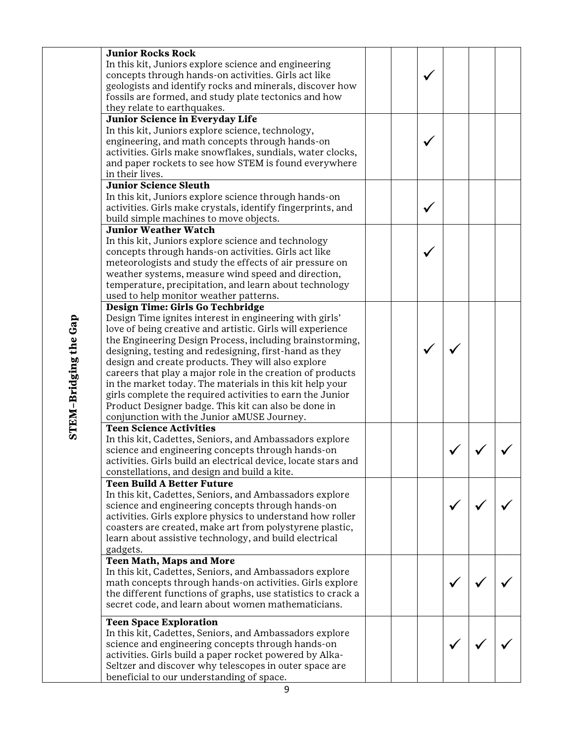| <b>Junior Rocks Rock</b>                                       |  |  |  |
|----------------------------------------------------------------|--|--|--|
| In this kit, Juniors explore science and engineering           |  |  |  |
| concepts through hands-on activities. Girls act like           |  |  |  |
| geologists and identify rocks and minerals, discover how       |  |  |  |
| fossils are formed, and study plate tectonics and how          |  |  |  |
| they relate to earthquakes.                                    |  |  |  |
| Junior Science in Everyday Life                                |  |  |  |
| In this kit, Juniors explore science, technology,              |  |  |  |
| engineering, and math concepts through hands-on                |  |  |  |
| activities. Girls make snowflakes, sundials, water clocks,     |  |  |  |
| and paper rockets to see how STEM is found everywhere          |  |  |  |
| in their lives.                                                |  |  |  |
| <b>Junior Science Sleuth</b>                                   |  |  |  |
| In this kit, Juniors explore science through hands-on          |  |  |  |
| activities. Girls make crystals, identify fingerprints, and    |  |  |  |
| build simple machines to move objects.                         |  |  |  |
| <b>Junior Weather Watch</b>                                    |  |  |  |
| In this kit, Juniors explore science and technology            |  |  |  |
| concepts through hands-on activities. Girls act like           |  |  |  |
| meteorologists and study the effects of air pressure on        |  |  |  |
| weather systems, measure wind speed and direction,             |  |  |  |
| temperature, precipitation, and learn about technology         |  |  |  |
| used to help monitor weather patterns.                         |  |  |  |
| Design Time: Girls Go Techbridge                               |  |  |  |
| Design Time ignites interest in engineering with girls'        |  |  |  |
| love of being creative and artistic. Girls will experience     |  |  |  |
| the Engineering Design Process, including brainstorming,       |  |  |  |
| designing, testing and redesigning, first-hand as they         |  |  |  |
| design and create products. They will also explore             |  |  |  |
| careers that play a major role in the creation of products     |  |  |  |
| in the market today. The materials in this kit help your       |  |  |  |
| girls complete the required activities to earn the Junior      |  |  |  |
| Product Designer badge. This kit can also be done in           |  |  |  |
| conjunction with the Junior aMUSE Journey.                     |  |  |  |
| <b>Teen Science Activities</b>                                 |  |  |  |
| In this kit, Cadettes, Seniors, and Ambassadors explore        |  |  |  |
| science and engineering concepts through hands-on              |  |  |  |
| activities. Girls build an electrical device, locate stars and |  |  |  |
| constellations, and design and build a kite.                   |  |  |  |
| <b>Teen Build A Better Future</b>                              |  |  |  |
| In this kit, Cadettes, Seniors, and Ambassadors explore        |  |  |  |
| science and engineering concepts through hands-on              |  |  |  |
| activities. Girls explore physics to understand how roller     |  |  |  |
| coasters are created, make art from polystyrene plastic,       |  |  |  |
| learn about assistive technology, and build electrical         |  |  |  |
| gadgets.                                                       |  |  |  |
| <b>Teen Math, Maps and More</b>                                |  |  |  |
| In this kit, Cadettes, Seniors, and Ambassadors explore        |  |  |  |
| math concepts through hands-on activities. Girls explore       |  |  |  |
| the different functions of graphs, use statistics to crack a   |  |  |  |
| secret code, and learn about women mathematicians.             |  |  |  |
|                                                                |  |  |  |
| <b>Teen Space Exploration</b>                                  |  |  |  |
| In this kit, Cadettes, Seniors, and Ambassadors explore        |  |  |  |
| science and engineering concepts through hands-on              |  |  |  |
| activities. Girls build a paper rocket powered by Alka-        |  |  |  |
| Seltzer and discover why telescopes in outer space are         |  |  |  |
| beneficial to our understanding of space.                      |  |  |  |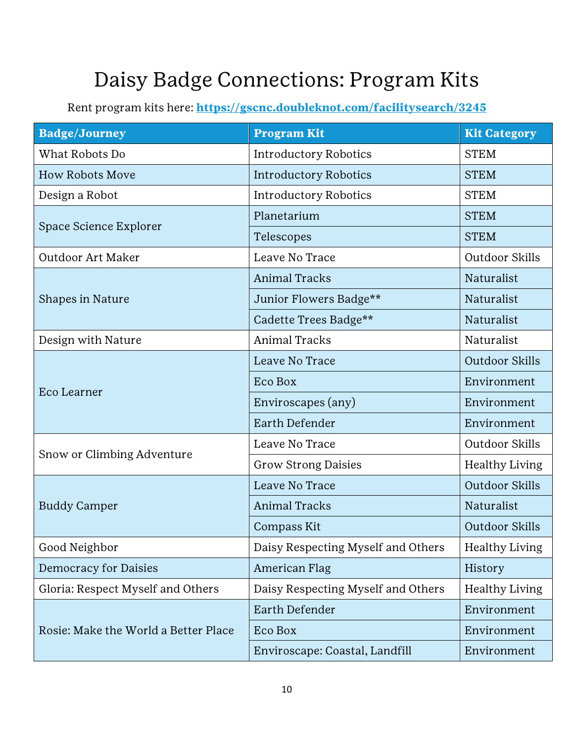#### <span id="page-9-0"></span>Daisy Badge Connections: Program Kits

| <b>Badge/Journey</b>                 | <b>Program Kit</b>                 | <b>Kit Category</b>   |
|--------------------------------------|------------------------------------|-----------------------|
| What Robots Do                       | <b>Introductory Robotics</b>       | <b>STEM</b>           |
| <b>How Robots Move</b>               | <b>Introductory Robotics</b>       | <b>STEM</b>           |
| Design a Robot                       | <b>Introductory Robotics</b>       | <b>STEM</b>           |
|                                      | Planetarium                        | <b>STEM</b>           |
| Space Science Explorer               | Telescopes                         | <b>STEM</b>           |
| Outdoor Art Maker                    | Leave No Trace                     | Outdoor Skills        |
|                                      | <b>Animal Tracks</b>               | Naturalist            |
| <b>Shapes in Nature</b>              | Junior Flowers Badge**             | Naturalist            |
|                                      | Cadette Trees Badge**              | Naturalist            |
| Design with Nature                   | <b>Animal Tracks</b>               | Naturalist            |
|                                      | Leave No Trace                     | Outdoor Skills        |
|                                      | Eco Box                            | Environment           |
| Eco Learner                          | Enviroscapes (any)                 | Environment           |
|                                      | Earth Defender                     | Environment           |
|                                      | Leave No Trace                     | Outdoor Skills        |
| Snow or Climbing Adventure           | <b>Grow Strong Daisies</b>         | <b>Healthy Living</b> |
|                                      | Leave No Trace                     | Outdoor Skills        |
| <b>Buddy Camper</b>                  | <b>Animal Tracks</b>               | Naturalist            |
|                                      | Compass Kit                        | Outdoor Skills        |
| Good Neighbor                        | Daisy Respecting Myself and Others | <b>Healthy Living</b> |
| Democracy for Daisies                | American Flag                      | History               |
| Gloria: Respect Myself and Others    | Daisy Respecting Myself and Others | <b>Healthy Living</b> |
|                                      | Earth Defender                     | Environment           |
| Rosie: Make the World a Better Place | Eco Box                            | Environment           |
|                                      | Enviroscape: Coastal, Landfill     | Environment           |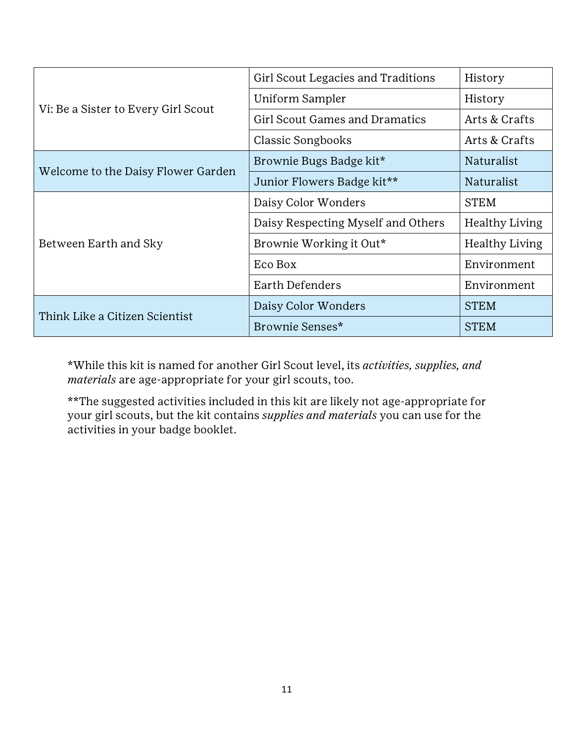|                                     | Girl Scout Legacies and Traditions    | History        |
|-------------------------------------|---------------------------------------|----------------|
|                                     | Uniform Sampler                       | History        |
| Vi: Be a Sister to Every Girl Scout | <b>Girl Scout Games and Dramatics</b> | Arts & Crafts  |
|                                     | <b>Classic Songbooks</b>              | Arts & Crafts  |
|                                     | Brownie Bugs Badge kit*               | Naturalist     |
| Welcome to the Daisy Flower Garden  | Junior Flowers Badge kit**            | Naturalist     |
|                                     | Daisy Color Wonders                   | <b>STEM</b>    |
|                                     | Daisy Respecting Myself and Others    | Healthy Living |
| Between Earth and Sky               | Brownie Working it Out*               | Healthy Living |
|                                     | Eco Box                               | Environment    |
|                                     | Earth Defenders                       | Environment    |
| Think Like a Citizen Scientist      | Daisy Color Wonders                   | <b>STEM</b>    |
|                                     | Brownie Senses*                       | <b>STEM</b>    |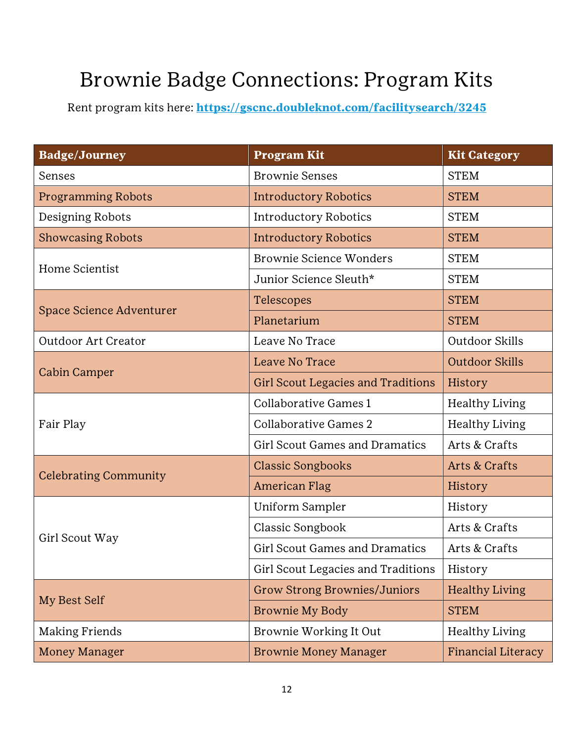### <span id="page-11-0"></span>Brownie Badge Connections: Program Kits

| <b>Badge/Journey</b>         | <b>Program Kit</b>                        | <b>Kit Category</b>   |
|------------------------------|-------------------------------------------|-----------------------|
| Senses                       | <b>Brownie Senses</b>                     | <b>STEM</b>           |
| <b>Programming Robots</b>    | <b>Introductory Robotics</b>              | <b>STEM</b>           |
| Designing Robots             | <b>Introductory Robotics</b>              | <b>STEM</b>           |
| <b>Showcasing Robots</b>     | <b>Introductory Robotics</b>              | <b>STEM</b>           |
| Home Scientist               | <b>Brownie Science Wonders</b>            | <b>STEM</b>           |
|                              | Junior Science Sleuth*                    | <b>STEM</b>           |
| Space Science Adventurer     | Telescopes                                | <b>STEM</b>           |
|                              | Planetarium                               | <b>STEM</b>           |
| Outdoor Art Creator          | Leave No Trace                            | Outdoor Skills        |
| <b>Cabin Camper</b>          | Leave No Trace                            | <b>Outdoor Skills</b> |
|                              | <b>Girl Scout Legacies and Traditions</b> | History               |
|                              | Collaborative Games 1                     | <b>Healthy Living</b> |
| Fair Play                    | Collaborative Games 2                     | <b>Healthy Living</b> |
|                              | <b>Girl Scout Games and Dramatics</b>     | Arts & Crafts         |
|                              | <b>Classic Songbooks</b>                  | Arts & Crafts         |
| <b>Celebrating Community</b> | <b>American Flag</b>                      | History               |
|                              | Uniform Sampler                           | History               |
| Girl Scout Way               | Classic Songbook                          | Arts & Crafts         |
|                              | <b>Girl Scout Games and Dramatics</b>     | Arts & Crafts         |
|                              | Girl Scout Legacies and Traditions        | History               |
| My Best Self                 | <b>Grow Strong Brownies/Juniors</b>       | <b>Healthy Living</b> |
|                              | Brownie My Body                           | <b>STEM</b>           |
| <b>Making Friends</b>        | Brownie Working It Out                    | Healthy Living        |
| <b>Money Manager</b>         | <b>Brownie Money Manager</b>              | Financial Literacy    |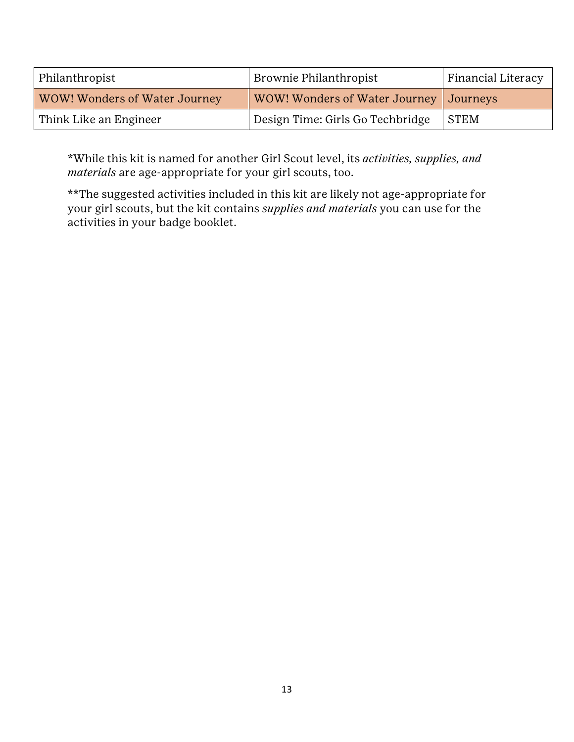| Philanthropist                | Brownie Philanthropist                   | <b>Financial Literacy</b> |
|-------------------------------|------------------------------------------|---------------------------|
| WOW! Wonders of Water Journey | WOW! Wonders of Water Journey   Journeys |                           |
| Think Like an Engineer        | Design Time: Girls Go Techbridge         | STEM                      |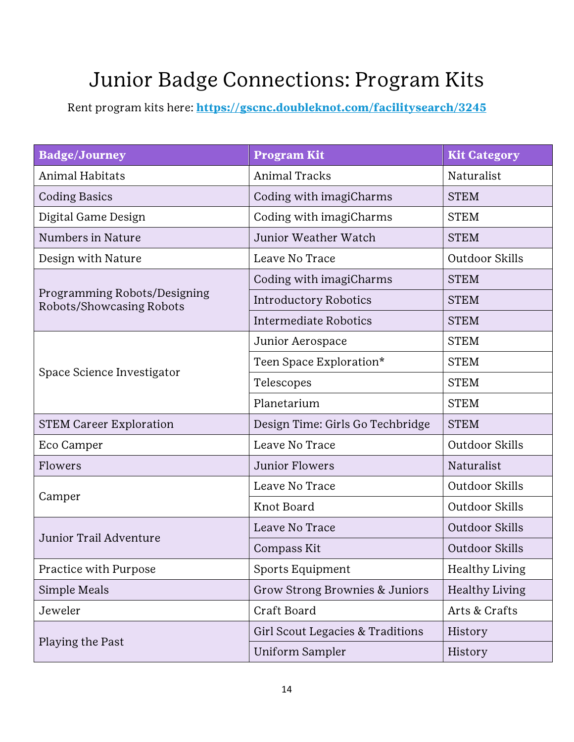### <span id="page-13-0"></span>Junior Badge Connections: Program Kits

| <b>Badge/Journey</b>                                     | <b>Program Kit</b>               | <b>Kit Category</b>   |
|----------------------------------------------------------|----------------------------------|-----------------------|
| Animal Habitats                                          | <b>Animal Tracks</b>             | Naturalist            |
| <b>Coding Basics</b>                                     | Coding with imagiCharms          | <b>STEM</b>           |
| Digital Game Design                                      | Coding with imagiCharms          | <b>STEM</b>           |
| Numbers in Nature                                        | Junior Weather Watch             | <b>STEM</b>           |
| Design with Nature                                       | Leave No Trace                   | Outdoor Skills        |
|                                                          | Coding with imagiCharms          | <b>STEM</b>           |
| Programming Robots/Designing<br>Robots/Showcasing Robots | <b>Introductory Robotics</b>     | <b>STEM</b>           |
|                                                          | <b>Intermediate Robotics</b>     | <b>STEM</b>           |
|                                                          | Junior Aerospace                 | <b>STEM</b>           |
| Space Science Investigator                               | Teen Space Exploration*          | <b>STEM</b>           |
|                                                          | Telescopes                       | <b>STEM</b>           |
|                                                          | Planetarium                      | <b>STEM</b>           |
| <b>STEM Career Exploration</b>                           | Design Time: Girls Go Techbridge | <b>STEM</b>           |
| Eco Camper                                               | Leave No Trace                   | Outdoor Skills        |
| Flowers                                                  | Junior Flowers                   | Naturalist            |
| Camper                                                   | Leave No Trace                   | Outdoor Skills        |
|                                                          | Knot Board                       | Outdoor Skills        |
| Junior Trail Adventure                                   | Leave No Trace                   | Outdoor Skills        |
|                                                          | Compass Kit                      | Outdoor Skills        |
| Practice with Purpose                                    | Sports Equipment                 | <b>Healthy Living</b> |
| Simple Meals                                             | Grow Strong Brownies & Juniors   | <b>Healthy Living</b> |
| Jeweler                                                  | Craft Board                      | Arts & Crafts         |
| Playing the Past                                         | Girl Scout Legacies & Traditions | History               |
|                                                          | <b>Uniform Sampler</b>           | History               |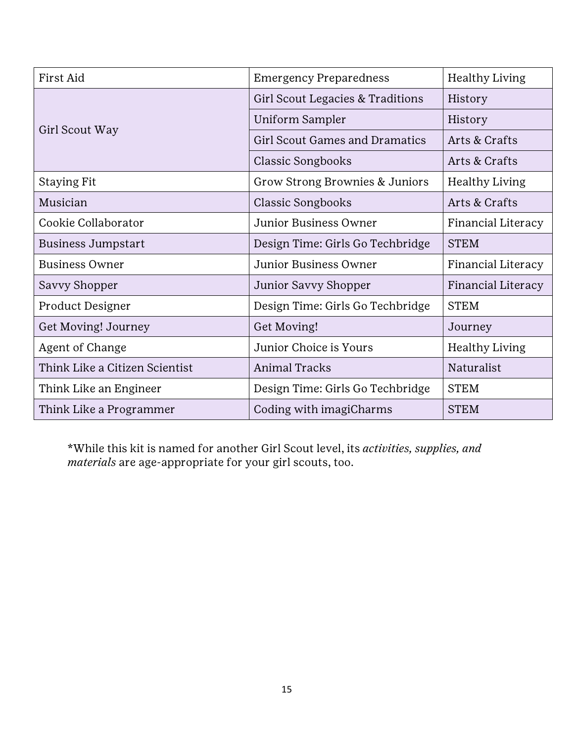| First Aid                      | <b>Emergency Preparedness</b>         | <b>Healthy Living</b> |
|--------------------------------|---------------------------------------|-----------------------|
|                                | Girl Scout Legacies & Traditions      | History               |
|                                | Uniform Sampler                       | History               |
| Girl Scout Way                 | <b>Girl Scout Games and Dramatics</b> | Arts & Crafts         |
|                                | <b>Classic Songbooks</b>              | Arts & Crafts         |
| <b>Staying Fit</b>             | Grow Strong Brownies & Juniors        | <b>Healthy Living</b> |
| Musician                       | <b>Classic Songbooks</b>              | Arts & Crafts         |
| Cookie Collaborator            | Junior Business Owner                 | Financial Literacy    |
| <b>Business Jumpstart</b>      | Design Time: Girls Go Techbridge      | <b>STEM</b>           |
| <b>Business Owner</b>          | Junior Business Owner                 | Financial Literacy    |
| Savvy Shopper                  | Junior Savvy Shopper                  | Financial Literacy    |
| Product Designer               | Design Time: Girls Go Techbridge      | <b>STEM</b>           |
| Get Moving! Journey            | Get Moving!                           | Journey               |
| Agent of Change                | Junior Choice is Yours                | <b>Healthy Living</b> |
| Think Like a Citizen Scientist | <b>Animal Tracks</b>                  | Naturalist            |
| Think Like an Engineer         | Design Time: Girls Go Techbridge      | <b>STEM</b>           |
| Think Like a Programmer        | Coding with imagiCharms               | <b>STEM</b>           |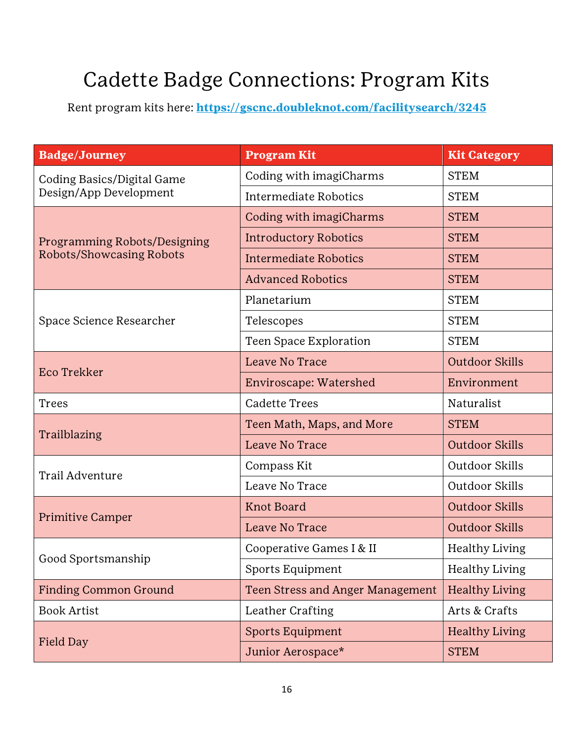#### <span id="page-15-0"></span>Cadette Badge Connections: Program Kits

| <b>Badge/Journey</b>                                 | <b>Program Kit</b>               | <b>Kit Category</b>   |
|------------------------------------------------------|----------------------------------|-----------------------|
| Coding Basics/Digital Game<br>Design/App Development | Coding with imagiCharms          | <b>STEM</b>           |
|                                                      | <b>Intermediate Robotics</b>     | <b>STEM</b>           |
|                                                      | Coding with imagiCharms          | <b>STEM</b>           |
| Programming Robots/Designing                         | <b>Introductory Robotics</b>     | <b>STEM</b>           |
| Robots/Showcasing Robots                             | Intermediate Robotics            | <b>STEM</b>           |
|                                                      | <b>Advanced Robotics</b>         | <b>STEM</b>           |
|                                                      | Planetarium                      | <b>STEM</b>           |
| Space Science Researcher                             | Telescopes                       | <b>STEM</b>           |
|                                                      | Teen Space Exploration           | <b>STEM</b>           |
| Eco Trekker                                          | Leave No Trace                   | <b>Outdoor Skills</b> |
|                                                      | Enviroscape: Watershed           | Environment           |
| <b>Trees</b>                                         | <b>Cadette Trees</b>             | Naturalist            |
|                                                      | Teen Math, Maps, and More        | <b>STEM</b>           |
| Trailblazing                                         | Leave No Trace                   | <b>Outdoor Skills</b> |
| Trail Adventure                                      | Compass Kit                      | Outdoor Skills        |
|                                                      | Leave No Trace                   | Outdoor Skills        |
| <b>Primitive Camper</b>                              | <b>Knot Board</b>                | Outdoor Skills        |
|                                                      | Leave No Trace                   | <b>Outdoor Skills</b> |
|                                                      | Cooperative Games I & II         | <b>Healthy Living</b> |
| Good Sportsmanship                                   | Sports Equipment                 | <b>Healthy Living</b> |
| <b>Finding Common Ground</b>                         | Teen Stress and Anger Management | <b>Healthy Living</b> |
| <b>Book Artist</b>                                   | Leather Crafting                 | Arts & Crafts         |
| Field Day                                            | Sports Equipment                 | <b>Healthy Living</b> |
|                                                      | Junior Aerospace*                | <b>STEM</b>           |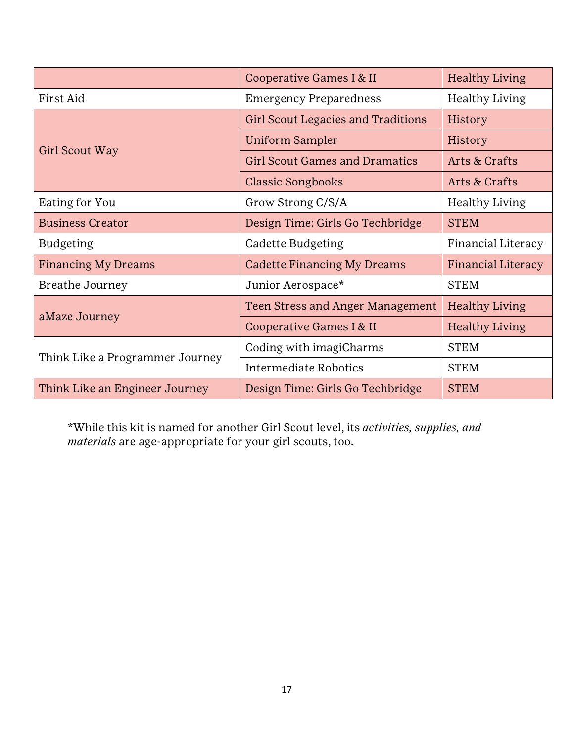|                                 | Cooperative Games I & II                  | <b>Healthy Living</b> |
|---------------------------------|-------------------------------------------|-----------------------|
| First Aid                       | <b>Emergency Preparedness</b>             | <b>Healthy Living</b> |
|                                 | <b>Girl Scout Legacies and Traditions</b> | History               |
|                                 | Uniform Sampler                           | History               |
| Girl Scout Way                  | <b>Girl Scout Games and Dramatics</b>     | Arts & Crafts         |
|                                 | <b>Classic Songbooks</b>                  | Arts & Crafts         |
| Eating for You                  | Grow Strong C/S/A                         | <b>Healthy Living</b> |
| <b>Business Creator</b>         | Design Time: Girls Go Techbridge          | <b>STEM</b>           |
| <b>Budgeting</b>                | Cadette Budgeting                         | Financial Literacy    |
| <b>Financing My Dreams</b>      | Cadette Financing My Dreams               | Financial Literacy    |
| Breathe Journey                 | Junior Aerospace*                         | <b>STEM</b>           |
| aMaze Journey                   | Teen Stress and Anger Management          | <b>Healthy Living</b> |
|                                 | Cooperative Games I & II                  | <b>Healthy Living</b> |
| Think Like a Programmer Journey | Coding with imagiCharms                   | <b>STEM</b>           |
|                                 | Intermediate Robotics                     | <b>STEM</b>           |
| Think Like an Engineer Journey  | Design Time: Girls Go Techbridge          | <b>STEM</b>           |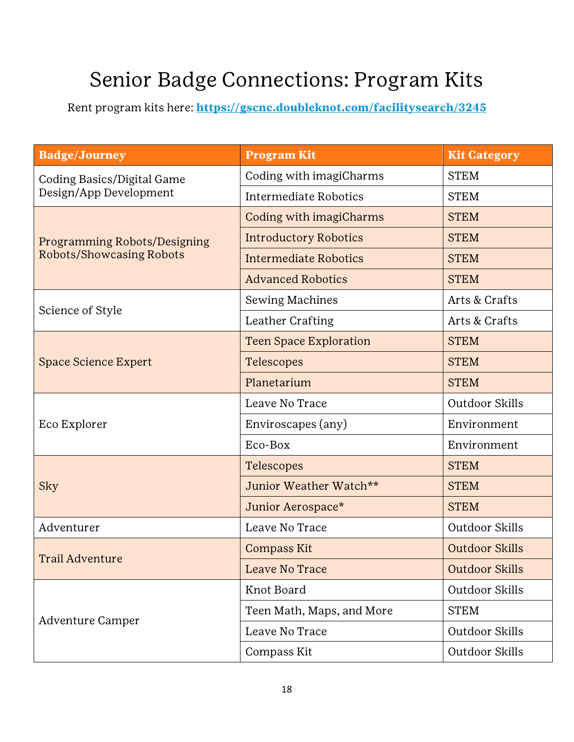#### <span id="page-17-0"></span>Senior Badge Connections: Program Kits

| <b>Badge/Journey</b>                                 | <b>Program Kit</b>            | <b>Kit Category</b>   |
|------------------------------------------------------|-------------------------------|-----------------------|
| Coding Basics/Digital Game<br>Design/App Development | Coding with imagiCharms       | <b>STEM</b>           |
|                                                      | <b>Intermediate Robotics</b>  | <b>STEM</b>           |
|                                                      | Coding with imagiCharms       | <b>STEM</b>           |
| Programming Robots/Designing                         | <b>Introductory Robotics</b>  | <b>STEM</b>           |
| <b>Robots/Showcasing Robots</b>                      | <b>Intermediate Robotics</b>  | <b>STEM</b>           |
|                                                      | <b>Advanced Robotics</b>      | <b>STEM</b>           |
|                                                      | Sewing Machines               | Arts & Crafts         |
| Science of Style                                     | Leather Crafting              | Arts & Crafts         |
|                                                      | <b>Teen Space Exploration</b> | <b>STEM</b>           |
| <b>Space Science Expert</b>                          | Telescopes                    | <b>STEM</b>           |
|                                                      | Planetarium                   | <b>STEM</b>           |
|                                                      | Leave No Trace                | Outdoor Skills        |
| Eco Explorer                                         | Enviroscapes (any)            | Environment           |
|                                                      | Eco-Box                       | Environment           |
| <b>Sky</b>                                           | Telescopes                    | <b>STEM</b>           |
|                                                      | Junior Weather Watch**        | <b>STEM</b>           |
|                                                      | Junior Aerospace*             | <b>STEM</b>           |
| Adventurer                                           | Leave No Trace                | Outdoor Skills        |
|                                                      | <b>Compass Kit</b>            | <b>Outdoor Skills</b> |
| <b>Trail Adventure</b>                               | Leave No Trace                | <b>Outdoor Skills</b> |
| <b>Adventure Camper</b>                              | Knot Board                    | Outdoor Skills        |
|                                                      | Teen Math, Maps, and More     | <b>STEM</b>           |
|                                                      | Leave No Trace                | Outdoor Skills        |
|                                                      | Compass Kit                   | Outdoor Skills        |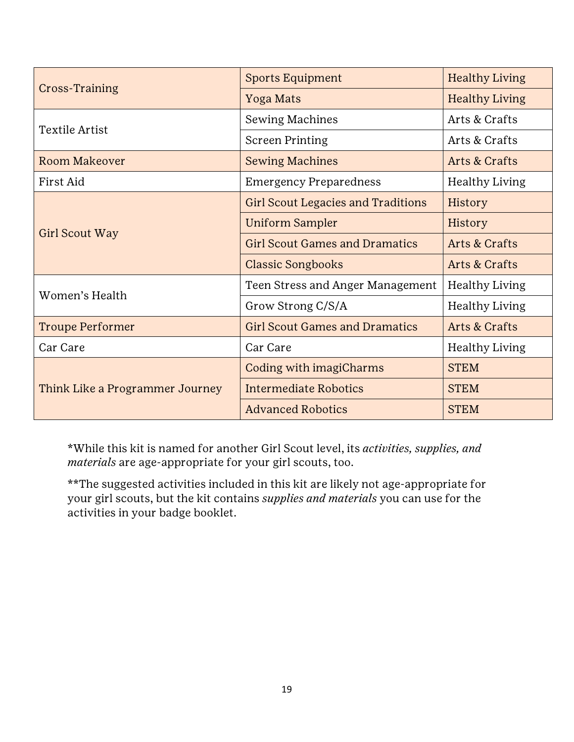| Cross-Training                  | <b>Sports Equipment</b>                   | <b>Healthy Living</b> |
|---------------------------------|-------------------------------------------|-----------------------|
|                                 | Yoga Mats                                 | <b>Healthy Living</b> |
| <b>Textile Artist</b>           | Sewing Machines                           | Arts & Crafts         |
|                                 | <b>Screen Printing</b>                    | Arts & Crafts         |
| Room Makeover                   | <b>Sewing Machines</b>                    | Arts & Crafts         |
| First Aid                       | <b>Emergency Preparedness</b>             | <b>Healthy Living</b> |
| Girl Scout Way                  | <b>Girl Scout Legacies and Traditions</b> | History               |
|                                 | <b>Uniform Sampler</b>                    | History               |
|                                 | <b>Girl Scout Games and Dramatics</b>     | Arts & Crafts         |
|                                 | <b>Classic Songbooks</b>                  | Arts & Crafts         |
| Women's Health                  | Teen Stress and Anger Management          | <b>Healthy Living</b> |
|                                 | Grow Strong C/S/A                         | <b>Healthy Living</b> |
| <b>Troupe Performer</b>         | <b>Girl Scout Games and Dramatics</b>     | Arts & Crafts         |
| Car Care                        | Car Care                                  | <b>Healthy Living</b> |
| Think Like a Programmer Journey | Coding with imagiCharms                   | <b>STEM</b>           |
|                                 | <b>Intermediate Robotics</b>              | <b>STEM</b>           |
|                                 | <b>Advanced Robotics</b>                  | <b>STEM</b>           |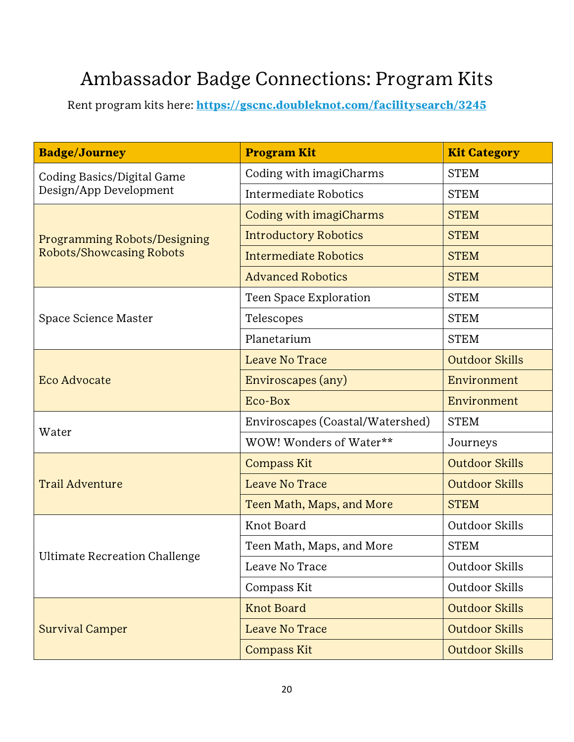#### <span id="page-19-0"></span>Ambassador Badge Connections: Program Kits

| <b>Badge/Journey</b>                                 | <b>Program Kit</b>               | <b>Kit Category</b>   |
|------------------------------------------------------|----------------------------------|-----------------------|
| Coding Basics/Digital Game<br>Design/App Development | Coding with imagiCharms          | <b>STEM</b>           |
|                                                      | Intermediate Robotics            | <b>STEM</b>           |
|                                                      | Coding with imagiCharms          | <b>STEM</b>           |
| <b>Programming Robots/Designing</b>                  | <b>Introductory Robotics</b>     | <b>STEM</b>           |
| <b>Robots/Showcasing Robots</b>                      | <b>Intermediate Robotics</b>     | <b>STEM</b>           |
|                                                      | <b>Advanced Robotics</b>         | <b>STEM</b>           |
|                                                      | Teen Space Exploration           | <b>STEM</b>           |
| Space Science Master                                 | Telescopes                       | <b>STEM</b>           |
|                                                      | Planetarium                      | <b>STEM</b>           |
|                                                      | Leave No Trace                   | Outdoor Skills        |
| <b>Eco Advocate</b>                                  | Enviroscapes (any)               | Environment           |
|                                                      | Eco-Box                          | Environment           |
| Water                                                | Enviroscapes (Coastal/Watershed) | <b>STEM</b>           |
|                                                      | WOW! Wonders of Water**          | Journeys              |
| <b>Trail Adventure</b>                               | <b>Compass Kit</b>               | <b>Outdoor Skills</b> |
|                                                      | Leave No Trace                   | <b>Outdoor Skills</b> |
|                                                      | Teen Math, Maps, and More        | <b>STEM</b>           |
| Ultimate Recreation Challenge                        | Knot Board                       | Outdoor Skills        |
|                                                      | Teen Math, Maps, and More        | <b>STEM</b>           |
|                                                      | Leave No Trace                   | Outdoor Skills        |
|                                                      | Compass Kit                      | Outdoor Skills        |
| <b>Survival Camper</b>                               | <b>Knot Board</b>                | <b>Outdoor Skills</b> |
|                                                      | Leave No Trace                   | <b>Outdoor Skills</b> |
|                                                      | <b>Compass Kit</b>               | <b>Outdoor Skills</b> |